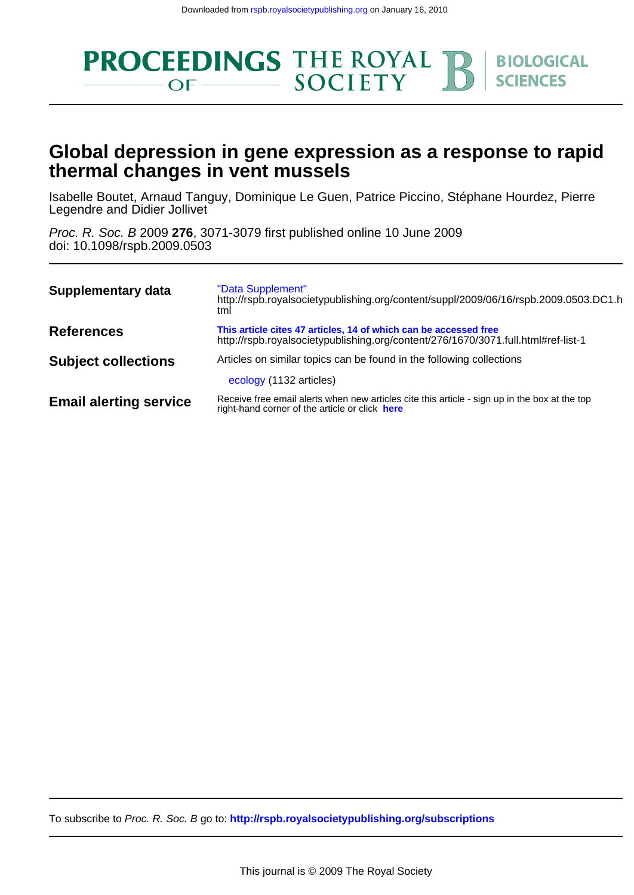

# **thermal changes in vent mussels Global depression in gene expression as a response to rapid**

Legendre and Didier Jollivet Isabelle Boutet, Arnaud Tanguy, Dominique Le Guen, Patrice Piccino, Stéphane Hourdez, Pierre

doi: 10.1098/rspb.2009.0503 Proc. R. Soc. B 2009 **276**, 3071-3079 first published online 10 June 2009

| Supplementary data            | "Data Supplement"<br>http://rspb.royalsocietypublishing.org/content/suppl/2009/06/16/rspb.2009.0503.DC1.h<br>tml                                      |
|-------------------------------|-------------------------------------------------------------------------------------------------------------------------------------------------------|
| <b>References</b>             | This article cites 47 articles, 14 of which can be accessed free<br>http://rspb.royalsocietypublishing.org/content/276/1670/3071.full.html#ref-list-1 |
| <b>Subject collections</b>    | Articles on similar topics can be found in the following collections<br>ecology (1132 articles)                                                       |
| <b>Email alerting service</b> | Receive free email alerts when new articles cite this article - sign up in the box at the top<br>right-hand corner of the article or click here       |

To subscribe to Proc. R. Soc. B go to: **<http://rspb.royalsocietypublishing.org/subscriptions>**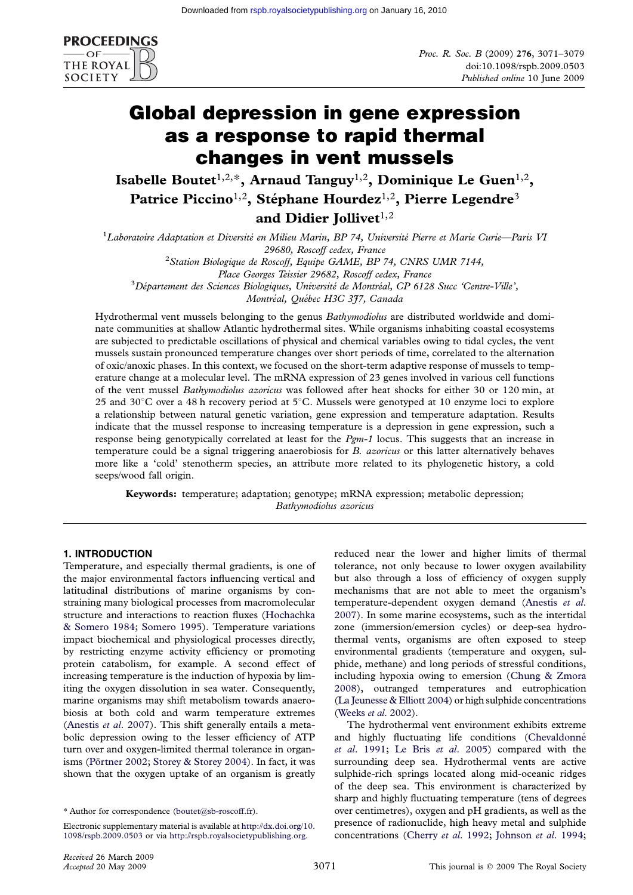

# Global depression in gene expression as a response to rapid thermal changes in vent mussels

Isabelle Boutet<sup>1,2,\*</sup>, Arnaud Tanguy<sup>1,2</sup>, Dominique Le Guen<sup>1,2</sup>, Patrice Piccino<sup>1,2</sup>, Stéphane Hourdez<sup>1,2</sup>, Pierre Legendre<sup>3</sup> and Didier Jollivet $1,2$ 

<sup>1</sup>Laboratoire Adaptation et Diversité en Milieu Marin, BP 74, Université Pierre et Marie Curie—Paris VI 29680, Roscoff cedex, France <sup>2</sup> Station Biologique de Roscoff, Equipe GAME, BP 74, CNRS UMR 7144, Place Georges Teissier 29682, Roscoff cedex, France  $3Département$  des Sciences Biologiques, Université de Montréal, CP 6128 Succ 'Centre-Ville', Montréal, Québec H3C 3J7, Canada

Hydrothermal vent mussels belonging to the genus Bathymodiolus are distributed worldwide and dominate communities at shallow Atlantic hydrothermal sites. While organisms inhabiting coastal ecosystems are subjected to predictable oscillations of physical and chemical variables owing to tidal cycles, the vent mussels sustain pronounced temperature changes over short periods of time, correlated to the alternation of oxic/anoxic phases. In this context, we focused on the short-term adaptive response of mussels to temperature change at a molecular level. The mRNA expression of 23 genes involved in various cell functions of the vent mussel Bathymodiolus azoricus was followed after heat shocks for either 30 or 120 min, at 25 and 30 $\degree$ C over a 48 h recovery period at 5 $\degree$ C. Mussels were genotyped at 10 enzyme loci to explore a relationship between natural genetic variation, gene expression and temperature adaptation. Results indicate that the mussel response to increasing temperature is a depression in gene expression, such a response being genotypically correlated at least for the  $Pgm-1$  locus. This suggests that an increase in temperature could be a signal triggering anaerobiosis for  $B$ . azoricus or this latter alternatively behaves more like a 'cold' stenotherm species, an attribute more related to its phylogenetic history, a cold seeps/wood fall origin.

Keywords: temperature; adaptation; genotype; mRNA expression; metabolic depression; Bathymodiolus azoricus

## 1. INTRODUCTION

Temperature, and especially thermal gradients, is one of the major environmental factors influencing vertical and latitudinal distributions of marine organisms by constraining many biological processes from macromolecular structure and interactions to reaction fluxes ([Hochachka](#page-9-0) [& Somero 1984](#page-9-0); [Somero 1995](#page-9-0)). Temperature variations impact biochemical and physiological processes directly, by restricting enzyme activity efficiency or promoting protein catabolism, for example. A second effect of increasing temperature is the induction of hypoxia by limiting the oxygen dissolution in sea water. Consequently, marine organisms may shift metabolism towards anaerobiosis at both cold and warm temperature extremes [\(Anestis](#page-8-0) et al. 2007). This shift generally entails a metabolic depression owing to the lesser efficiency of ATP turn over and oxygen-limited thermal tolerance in organ-isms (Pörtner 2002; [Storey & Storey 2004](#page-9-0)). In fact, it was shown that the oxygen uptake of an organism is greatly reduced near the lower and higher limits of thermal tolerance, not only because to lower oxygen availability but also through a loss of efficiency of oxygen supply mechanisms that are not able to meet the organism's temperature-dependent oxygen demand [\(Anestis](#page-8-0) et al. [2007\)](#page-8-0). In some marine ecosystems, such as the intertidal zone (immersion/emersion cycles) or deep-sea hydrothermal vents, organisms are often exposed to steep environmental gradients (temperature and oxygen, sulphide, methane) and long periods of stressful conditions, including hypoxia owing to emersion ([Chung & Zmora](#page-8-0) [2008\)](#page-8-0), outranged temperatures and eutrophication [\(La Jeunesse & Elliott 2004](#page-9-0)) or high sulphide concentrations [\(Weeks](#page-9-0) et al. 2002).

The hydrothermal vent environment exhibits extreme and highly fluctuating life conditions (Chevaldonné et al[. 1991](#page-8-0); [Le Bris](#page-9-0) et al. 2005) compared with the surrounding deep sea. Hydrothermal vents are active sulphide-rich springs located along mid-oceanic ridges of the deep sea. This environment is characterized by sharp and highly fluctuating temperature (tens of degrees over centimetres), oxygen and pH gradients, as well as the presence of radionuclide, high heavy metal and sulphide concentrations ([Cherry](#page-8-0) et al. 1992; [Johnson](#page-9-0) et al. 1994;

<sup>\*</sup> Author for correspondence ([boutet@sb-roscoff.fr](mailto:boutet@sb-roscoff.fr)).

Electronic supplementary material is available at [http://dx.doi.org/10.](http://dx.doi.org/10.1098/rspb.2009.0503) [1098/rspb.2009.0503](http://dx.doi.org/10.1098/rspb.2009.0503) or via <http://rspb.royalsocietypublishing.org>.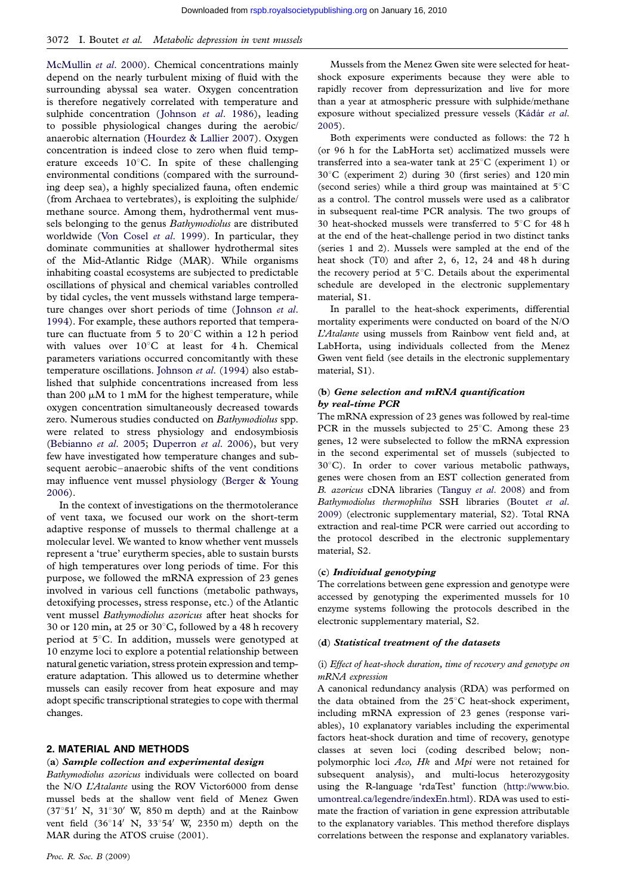<span id="page-2-0"></span>[McMullin](#page-9-0) et al. 2000). Chemical concentrations mainly depend on the nearly turbulent mixing of fluid with the surrounding abyssal sea water. Oxygen concentration is therefore negatively correlated with temperature and sulphide concentration ([Johnson](#page-9-0) et al. 1986), leading to possible physiological changes during the aerobic/ anaerobic alternation ([Hourdez & Lallier 2007](#page-9-0)). Oxygen concentration is indeed close to zero when fluid temperature exceeds  $10^{\circ}$ C. In spite of these challenging environmental conditions (compared with the surrounding deep sea), a highly specialized fauna, often endemic (from Archaea to vertebrates), is exploiting the sulphide/ methane source. Among them, hydrothermal vent mussels belonging to the genus Bathymodiolus are distributed worldwide [\(Von Cosel](#page-9-0) et al. 1999). In particular, they dominate communities at shallower hydrothermal sites of the Mid-Atlantic Ridge (MAR). While organisms inhabiting coastal ecosystems are subjected to predictable oscillations of physical and chemical variables controlled by tidal cycles, the vent mussels withstand large tempera-ture changes over short periods of time ([Johnson](#page-9-0) et al. [1994\)](#page-9-0). For example, these authors reported that temperature can fluctuate from 5 to  $20^{\circ}$ C within a 12 h period with values over  $10^{\circ}$ C at least for 4 h. Chemical parameters variations occurred concomitantly with these temperature oscillations. Johnson et al[. \(1994\)](#page-9-0) also established that sulphide concentrations increased from less than 200  $\mu$ M to 1 mM for the highest temperature, while oxygen concentration simultaneously decreased towards zero. Numerous studies conducted on Bathymodiolus spp. were related to stress physiology and endosymbiosis [\(Bebianno](#page-8-0) et al. 2005; [Duperron](#page-8-0) et al. 2006), but very few have investigated how temperature changes and subsequent aerobic–anaerobic shifts of the vent conditions may influence vent mussel physiology ([Berger & Young](#page-8-0) [2006\)](#page-8-0).

In the context of investigations on the thermotolerance of vent taxa, we focused our work on the short-term adaptive response of mussels to thermal challenge at a molecular level. We wanted to know whether vent mussels represent a 'true' eurytherm species, able to sustain bursts of high temperatures over long periods of time. For this purpose, we followed the mRNA expression of 23 genes involved in various cell functions (metabolic pathways, detoxifying processes, stress response, etc.) of the Atlantic vent mussel Bathymodiolus azoricus after heat shocks for 30 or 120 min, at 25 or 30 $^{\circ}$ C, followed by a 48 h recovery period at  $5^{\circ}$ C. In addition, mussels were genotyped at 10 enzyme loci to explore a potential relationship between natural genetic variation, stress protein expression and temperature adaptation. This allowed us to determine whether mussels can easily recover from heat exposure and may adopt specific transcriptional strategies to cope with thermal changes.

## 2. MATERIAL AND METHODS

#### (a) Sample collection and experimental design

Bathymodiolus azoricus individuals were collected on board the N/O L'Atalante using the ROV Victor6000 from dense mussel beds at the shallow vent field of Menez Gwen  $(37°51' \text{ N}, 31°30' \text{ W}, 850 \text{ m}$  depth) and at the Rainbow vent field  $(36°14' \text{ N}, 33°54' \text{ W}, 2350 \text{ m})$  depth on the MAR during the ATOS cruise (2001).

Mussels from the Menez Gwen site were selected for heatshock exposure experiments because they were able to rapidly recover from depressurization and live for more than a year at atmospheric pressure with sulphide/methane exposure without specialized pressure vessels (Kádár et al. [2005\)](#page-9-0).

Both experiments were conducted as follows: the 72 h (or 96 h for the LabHorta set) acclimatized mussels were transferred into a sea-water tank at  $25^{\circ}$ C (experiment 1) or  $30^{\circ}$ C (experiment 2) during 30 (first series) and 120 min (second series) while a third group was maintained at  $5^{\circ}$ C as a control. The control mussels were used as a calibrator in subsequent real-time PCR analysis. The two groups of 30 heat-shocked mussels were transferred to  $5^{\circ}$ C for 48 h at the end of the heat-challenge period in two distinct tanks (series 1 and 2). Mussels were sampled at the end of the heat shock (T0) and after 2, 6, 12, 24 and 48 h during the recovery period at  $5^{\circ}$ C. Details about the experimental schedule are developed in the electronic supplementary material, S1.

In parallel to the heat-shock experiments, differential mortality experiments were conducted on board of the N/O L'Atalante using mussels from Rainbow vent field and, at LabHorta, using individuals collected from the Menez Gwen vent field (see details in the electronic supplementary material, S1).

### (b) Gene selection and mRNA quantification by real-time PCR

The mRNA expression of 23 genes was followed by real-time PCR in the mussels subjected to  $25^{\circ}$ C. Among these 23 genes, 12 were subselected to follow the mRNA expression in the second experimental set of mussels (subjected to  $30^{\circ}$ C). In order to cover various metabolic pathways, genes were chosen from an EST collection generated from B. azoricus cDNA libraries [\(Tanguy](#page-9-0) et al. 2008) and from Bathymodiolus thermophilus SSH libraries [\(Boutet](#page-8-0) et al. [2009\)](#page-8-0) (electronic supplementary material, S2). Total RNA extraction and real-time PCR were carried out according to the protocol described in the electronic supplementary material, S2.

#### (c) Individual genotyping

The correlations between gene expression and genotype were accessed by genotyping the experimented mussels for 10 enzyme systems following the protocols described in the electronic supplementary material, S2.

#### (d) Statistical treatment of the datasets

#### (i) Effect of heat-shock duration, time of recovery and genotype on mRNA expression

A canonical redundancy analysis (RDA) was performed on the data obtained from the  $25^{\circ}$ C heat-shock experiment, including mRNA expression of 23 genes (response variables), 10 explanatory variables including the experimental factors heat-shock duration and time of recovery, genotype classes at seven loci (coding described below; nonpolymorphic loci Aco, Hk and Mpi were not retained for subsequent analysis), and multi-locus heterozygosity using the R-language 'rdaTest' function ([http://www.bio.](http://www.bio.umontreal.ca/legendre/indexEn.html) [umontreal.ca/legendre/indexEn.html\)](http://www.bio.umontreal.ca/legendre/indexEn.html). RDA was used to estimate the fraction of variation in gene expression attributable to the explanatory variables. This method therefore displays correlations between the response and explanatory variables.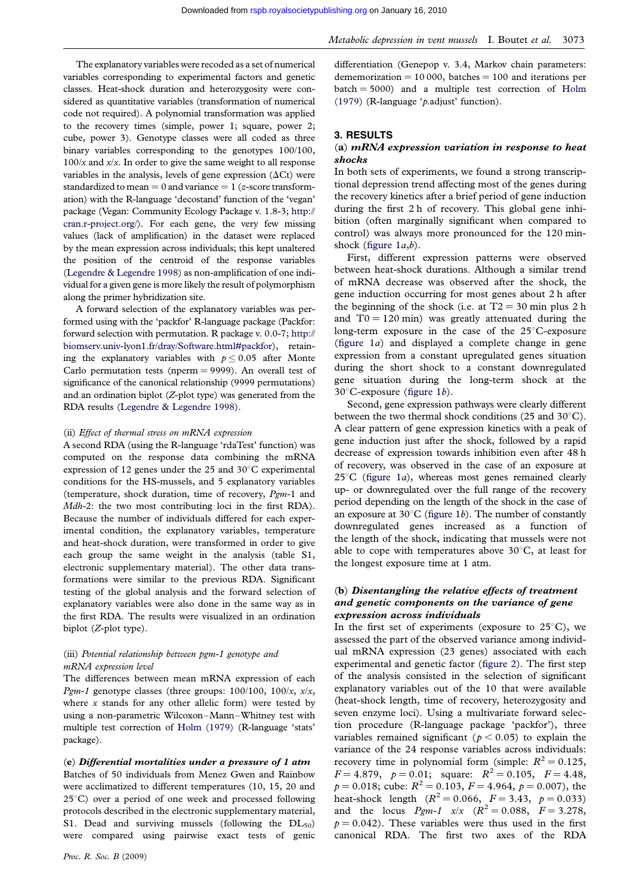The explanatory variables were recoded as a set of numerical variables corresponding to experimental factors and genetic classes. Heat-shock duration and heterozygosity were considered as quantitative variables (transformation of numerical code not required). A polynomial transformation was applied to the recovery times (simple, power 1; square, power 2; cube, power 3). Genotype classes were all coded as three binary variables corresponding to the genotypes 100/100,  $100/x$  and  $x/x$ . In order to give the same weight to all response variables in the analysis, levels of gene expression  $(\Delta Ct)$  were standardized to mean  $= 0$  and variance  $= 1$  (*z*-score transformation) with the R-language 'decostand' function of the 'vegan' package (Vegan: Community Ecology Package v. 1.8-3; [http://](http://cran.r-project.org/) [cran.r-project.org/\)](http://cran.r-project.org/). For each gene, the very few missing values (lack of amplification) in the dataset were replaced by the mean expression across individuals; this kept unaltered the position of the centroid of the response variables [\(Legendre & Legendre 1998](#page-9-0)) as non-amplification of one individual for a given gene is more likely the result of polymorphism along the primer hybridization site.

A forward selection of the explanatory variables was performed using with the 'packfor' R-language package (Packfor: forward selection with permutation. R package v. 0.0-7; [http://](http://biomserv.univ-lyon1.fr/dray/Software.html#packfor) [biomserv.univ-lyon1.fr/dray/Software.html#packfor\)](http://biomserv.univ-lyon1.fr/dray/Software.html#packfor), retaining the explanatory variables with  $p \leq 0.05$  after Monte Carlo permutation tests (nperm  $= 9999$ ). An overall test of significance of the canonical relationship (9999 permutations) and an ordination biplot (Z-plot type) was generated from the RDA results [\(Legendre & Legendre 1998\)](#page-9-0).

#### (ii) Effect of thermal stress on mRNA expression

A second RDA (using the R-language 'rdaTest' function) was computed on the response data combining the mRNA expression of 12 genes under the 25 and 30 $^{\circ}$ C experimental conditions for the HS-mussels, and 5 explanatory variables (temperature, shock duration, time of recovery, Pgm-1 and Mdh-2: the two most contributing loci in the first RDA). Because the number of individuals differed for each experimental condition, the explanatory variables, temperature and heat-shock duration, were transformed in order to give each group the same weight in the analysis (table S1, electronic supplementary material). The other data transformations were similar to the previous RDA. Significant testing of the global analysis and the forward selection of explanatory variables were also done in the same way as in the first RDA. The results were visualized in an ordination biplot (Z-plot type).

#### (iii) Potential relationship between pgm-1 genotype and mRNA expression level

The differences between mean mRNA expression of each Pgm-1 genotype classes (three groups:  $100/100$ ,  $100/x$ ,  $x/x$ , where  $x$  stands for any other allelic form) were tested by using a non-parametric Wilcoxon–Mann–Whitney test with multiple test correction of [Holm \(1979\)](#page-9-0) (R-language 'stats' package).

### (e) Differential mortalities under a pressure of 1 atm

Batches of 50 individuals from Menez Gwen and Rainbow were acclimatized to different temperatures (10, 15, 20 and  $25^{\circ}$ C) over a period of one week and processed following protocols described in the electronic supplementary material, S1. Dead and surviving mussels (following the  $DL_{50}$ ) were compared using pairwise exact tests of genic Metabolic depression in vent mussels I. Boutet et al. 3073

differentiation (Genepop v. 3.4, Markov chain parameters: dememorization  $= 10000$ , batches  $= 100$  and iterations per  $batch = 5000$  and a multiple test correction of [Holm](#page-9-0) [\(1979\)](#page-9-0) (R-language 'p.adjust' function).

## 3. RESULTS

#### (a) mRNA expression variation in response to heat shocks

In both sets of experiments, we found a strong transcriptional depression trend affecting most of the genes during the recovery kinetics after a brief period of gene induction during the first 2 h of recovery. This global gene inhibition (often marginally significant when compared to control) was always more pronounced for the 120 minshock (figure  $1a,b$ ).

First, different expression patterns were observed between heat-shock durations. Although a similar trend of mRNA decrease was observed after the shock, the gene induction occurring for most genes about 2 h after the beginning of the shock (i.e. at  $T2 = 30$  min plus 2 h and  $T0 = 120$  min) was greatly attenuated during the long-term exposure in the case of the  $25^{\circ}$ C-exposure [\(figure 1](#page-4-0)a) and displayed a complete change in gene expression from a constant upregulated genes situation during the short shock to a constant downregulated gene situation during the long-term shock at the  $30^{\circ}$ C-exposure [\(figure 1](#page-4-0)*b*).

Second, gene expression pathways were clearly different between the two thermal shock conditions (25 and  $30^{\circ}$ C). A clear pattern of gene expression kinetics with a peak of gene induction just after the shock, followed by a rapid decrease of expression towards inhibition even after 48 h of recovery, was observed in the case of an exposure at  $25^{\circ}$ C [\(figure 1](#page-4-0)*a*), whereas most genes remained clearly up- or downregulated over the full range of the recovery period depending on the length of the shock in the case of an exposure at  $30^{\circ}$ C [\(figure 1](#page-4-0)b). The number of constantly downregulated genes increased as a function of the length of the shock, indicating that mussels were not able to cope with temperatures above  $30^{\circ}$ C, at least for the longest exposure time at 1 atm.

## (b) Disentangling the relative effects of treatment and genetic components on the variance of gene expression across individuals

In the first set of experiments (exposure to  $25^{\circ}$ C), we assessed the part of the observed variance among individual mRNA expression (23 genes) associated with each experimental and genetic factor [\(figure 2\)](#page-4-0). The first step of the analysis consisted in the selection of significant explanatory variables out of the 10 that were available (heat-shock length, time of recovery, heterozygosity and seven enzyme loci). Using a multivariate forward selection procedure (R-language package 'packfor'), three variables remained significant ( $p < 0.05$ ) to explain the variance of the 24 response variables across individuals: recovery time in polynomial form (simple:  $R^2 = 0.125$ ,  $F = 4.879$ ,  $p = 0.01$ ; square:  $R^2 = 0.105$ ,  $F = 4.48$ ,  $p = 0.018$ ; cube:  $R^2 = 0.103$ ,  $F = 4.964$ ,  $p = 0.007$ ), the heat-shock length  $(R^2 = 0.066, F = 3.43, p = 0.033)$ and the locus  $Pgm-1$   $x/x$   $(R^2 = 0.088, F = 3.278,$  $p = 0.042$ ). These variables were thus used in the first canonical RDA. The first two axes of the RDA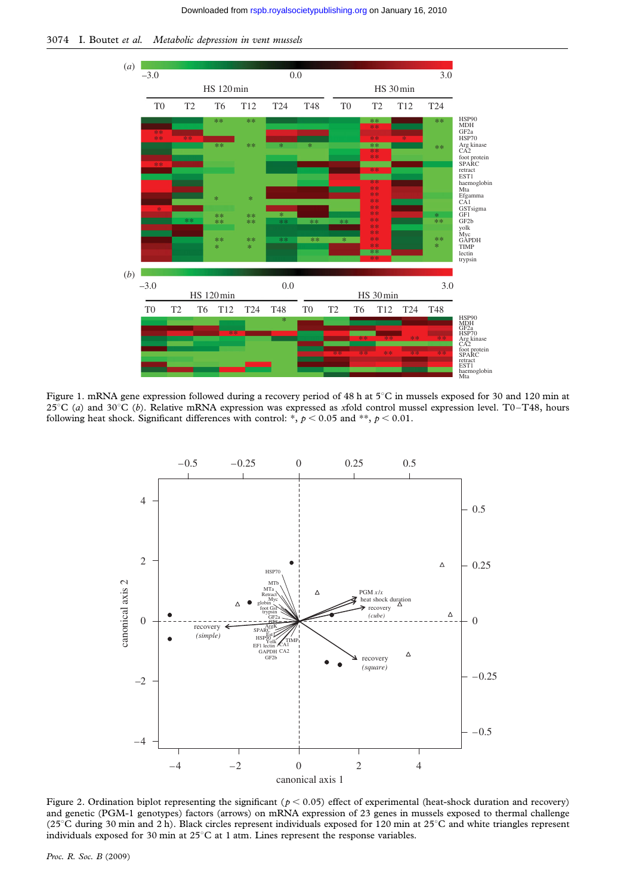<span id="page-4-0"></span>3074 I. Boutet et al. Metabolic depression in vent mussels



Figure 1. mRNA gene expression followed during a recovery period of 48 h at  $5^{\circ}$ C in mussels exposed for 30 and 120 min at 25°C (a) and 30°C (b). Relative mRNA expression was expressed as xfold control mussel expression level. T0–T48, hours following heat shock. Significant differences with control: \*,  $p < 0.05$  and \*\*,  $p < 0.01$ .



Figure 2. Ordination biplot representing the significant ( $p < 0.05$ ) effect of experimental (heat-shock duration and recovery) and genetic (PGM-1 genotypes) factors (arrows) on mRNA expression of 23 genes in mussels exposed to thermal challenge (25°C during 30 min and 2 h). Black circles represent individuals exposed for 120 min at 25°C and white triangles represent individuals exposed for 30 min at  $25^{\circ}$ C at 1 atm. Lines represent the response variables.

Proc. R. Soc. B (2009)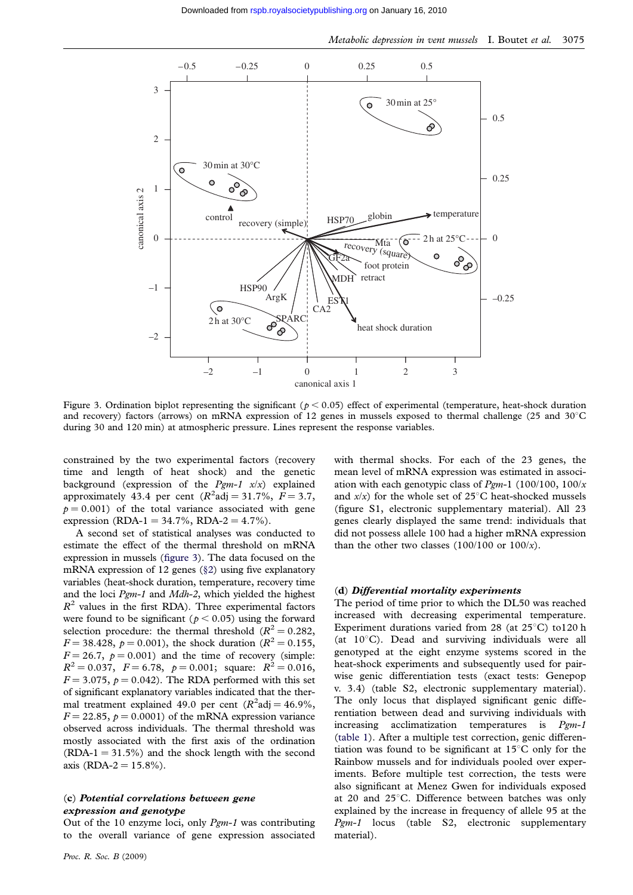

Figure 3. Ordination biplot representing the significant ( $p < 0.05$ ) effect of experimental (temperature, heat-shock duration and recovery) factors (arrows) on mRNA expression of 12 genes in mussels exposed to thermal challenge (25 and  $30^{\circ}$ C during 30 and 120 min) at atmospheric pressure. Lines represent the response variables.

constrained by the two experimental factors (recovery time and length of heat shock) and the genetic background (expression of the  $Pgm-1$   $x/x$ ) explained approximately 43.4 per cent  $(R^2 \text{adj} = 31.7\%, F = 3.7,$  $p = 0.001$ ) of the total variance associated with gene expression (RDA-1 = 34.7%, RDA-2 = 4.7%).

A second set of statistical analyses was conducted to estimate the effect of the thermal threshold on mRNA expression in mussels (figure 3). The data focused on the mRNA expression of 12 genes (§[2\)](#page-2-0) using five explanatory variables (heat-shock duration, temperature, recovery time and the loci Pgm-1 and Mdh-2, which yielded the highest  $R<sup>2</sup>$  values in the first RDA). Three experimental factors were found to be significant ( $p < 0.05$ ) using the forward selection procedure: the thermal threshold ( $R^2 = 0.282$ ,  $F = 38.428$ ,  $p = 0.001$ ), the shock duration ( $R^2 = 0.155$ ,  $F = 26.7$ ,  $p = 0.001$ ) and the time of recovery (simple:  $R^2 = 0.037$ ,  $F = 6.78$ ,  $p = 0.001$ ; square:  $R^2 = 0.016$ ,  $F = 3.075$ ,  $p = 0.042$ ). The RDA performed with this set of significant explanatory variables indicated that the thermal treatment explained 49.0 per cent  $(R^2 \text{adj} = 46.9\%$ ,  $F = 22.85$ ,  $p = 0.0001$ ) of the mRNA expression variance observed across individuals. The thermal threshold was mostly associated with the first axis of the ordination  $(RDA-1 = 31.5\%)$  and the shock length with the second axis (RDA-2 =  $15.8\%$ ).

## (c) Potential correlations between gene expression and genotype

Out of the 10 enzyme loci, only  $Pgm-1$  was contributing to the overall variance of gene expression associated

with thermal shocks. For each of the 23 genes, the mean level of mRNA expression was estimated in association with each genotypic class of  $Pgm-1$  (100/100, 100/x and  $x/x$ ) for the whole set of 25°C heat-shocked mussels (figure S1, electronic supplementary material). All 23 genes clearly displayed the same trend: individuals that did not possess allele 100 had a higher mRNA expression than the other two classes  $(100/100 \text{ or } 100/x)$ .

#### (d) Differential mortality experiments

The period of time prior to which the DL50 was reached increased with decreasing experimental temperature. Experiment durations varied from 28 (at  $25^{\circ}$ C) to120 h (at  $10^{\circ}$ C). Dead and surviving individuals were all genotyped at the eight enzyme systems scored in the heat-shock experiments and subsequently used for pairwise genic differentiation tests (exact tests: Genepop v. 3.4) (table S2, electronic supplementary material). The only locus that displayed significant genic differentiation between dead and surviving individuals with increasing acclimatization temperatures is  $Pgm-1$ [\(table 1\)](#page-6-0). After a multiple test correction, genic differentiation was found to be significant at  $15^{\circ}$ C only for the Rainbow mussels and for individuals pooled over experiments. Before multiple test correction, the tests were also significant at Menez Gwen for individuals exposed at 20 and  $25^{\circ}$ C. Difference between batches was only explained by the increase in frequency of allele 95 at the Pgm-1 locus (table S2, electronic supplementary material).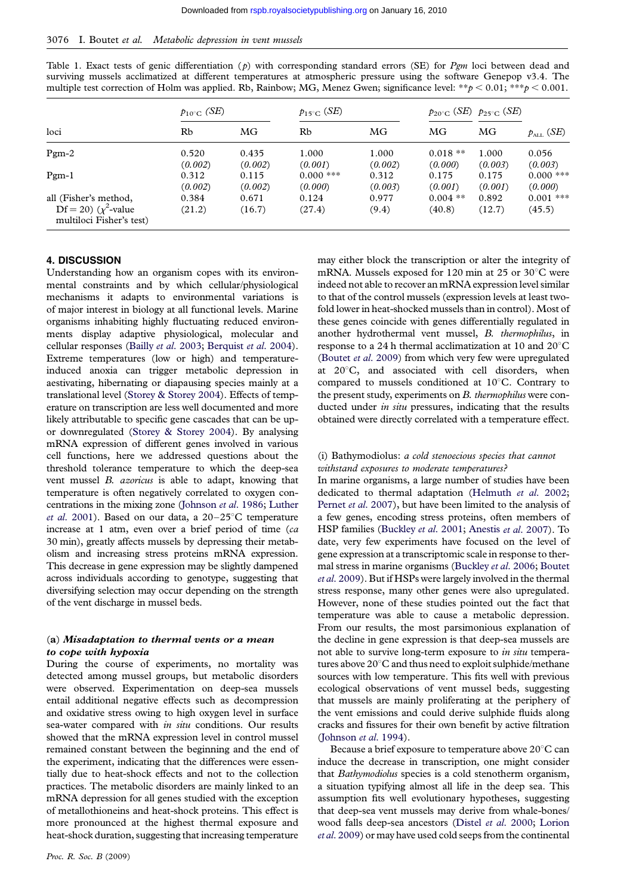<span id="page-6-0"></span>

|  | Table 1. Exact tests of genic differentiation (p) with corresponding standard errors (SE) for $Pgm$ loci between dead and |  |  |  |  |  |  |  |
|--|---------------------------------------------------------------------------------------------------------------------------|--|--|--|--|--|--|--|
|  | surviving mussels acclimatized at different temperatures at atmospheric pressure using the software Genepop v3.4. The     |  |  |  |  |  |  |  |
|  | multiple test correction of Holm was applied. Rb, Rainbow; MG, Menez Gwen; significance level: **p < 0.01; **p < 0.001.   |  |  |  |  |  |  |  |

|                                                                                 | $p_{10^{\circ}C}$ (SE) |                  | $p_{15^{\circ}C}$ ( <i>SE</i> ) |                  |                      | $p_{20^{\circ}C}$ ( <i>SE</i> ) $p_{25^{\circ}C}$ ( <i>SE</i> ) | $p_{\scriptscriptstyle{\text{ALL}}}(\textit{SE})$ |  |
|---------------------------------------------------------------------------------|------------------------|------------------|---------------------------------|------------------|----------------------|-----------------------------------------------------------------|---------------------------------------------------|--|
| loci                                                                            | Rb                     | MG               | Rb                              | MG               | <b>MG</b>            | MG                                                              |                                                   |  |
| $Pgm-2$                                                                         | 0.520<br>(0.002)       | 0.435<br>(0.002) | 1.000<br>(0.001)                | 1.000<br>(0.002) | $0.018**$<br>(0.000) | 1.000<br>(0.003)                                                | 0.056<br>(0.003)                                  |  |
| $Pgm-1$                                                                         | 0.312<br>(0.002)       | 0.115<br>(0.002) | $0.000$ ***<br>(0.000)          | 0.312<br>(0.003) | 0.175<br>(0.001)     | 0.175<br>(0.001)                                                | $0.000$ ***<br>(0.000)                            |  |
| all (Fisher's method,<br>Df = 20) ( $\chi^2$ -value<br>multiloci Fisher's test) | 0.384<br>(21.2)        | 0.671<br>(16.7)  | 0.124<br>(27.4)                 | 0.977<br>(9.4)   | $0.004$ **<br>(40.8) | 0.892<br>(12.7)                                                 | $0.001$ ***<br>(45.5)                             |  |

## 4. DISCUSSION

Understanding how an organism copes with its environmental constraints and by which cellular/physiological mechanisms it adapts to environmental variations is of major interest in biology at all functional levels. Marine organisms inhabiting highly fluctuating reduced environments display adaptive physiological, molecular and cellular responses (Bailly et al[. 2003](#page-8-0); [Berquist](#page-8-0) et al. 2004). Extreme temperatures (low or high) and temperatureinduced anoxia can trigger metabolic depression in aestivating, hibernating or diapausing species mainly at a translational level [\(Storey & Storey 2004](#page-9-0)). Effects of temperature on transcription are less well documented and more likely attributable to specific gene cascades that can be upor downregulated ([Storey & Storey 2004](#page-9-0)). By analysing mRNA expression of different genes involved in various cell functions, here we addressed questions about the threshold tolerance temperature to which the deep-sea vent mussel B. azoricus is able to adapt, knowing that temperature is often negatively correlated to oxygen concentrations in the mixing zone [\(Johnson](#page-9-0) et al. 1986; [Luther](#page-9-0) et al[. 2001\)](#page-9-0). Based on our data, a  $20-25^{\circ}$ C temperature increase at 1 atm, even over a brief period of time (ca 30 min), greatly affects mussels by depressing their metabolism and increasing stress proteins mRNA expression. This decrease in gene expression may be slightly dampened across individuals according to genotype, suggesting that diversifying selection may occur depending on the strength of the vent discharge in mussel beds.

### (a) Misadaptation to thermal vents or a mean to cope with hypoxia

During the course of experiments, no mortality was detected among mussel groups, but metabolic disorders were observed. Experimentation on deep-sea mussels entail additional negative effects such as decompression and oxidative stress owing to high oxygen level in surface sea-water compared with in situ conditions. Our results showed that the mRNA expression level in control mussel remained constant between the beginning and the end of the experiment, indicating that the differences were essentially due to heat-shock effects and not to the collection practices. The metabolic disorders are mainly linked to an mRNA depression for all genes studied with the exception of metallothioneins and heat-shock proteins. This effect is more pronounced at the highest thermal exposure and heat-shock duration, suggesting that increasing temperature

may either block the transcription or alter the integrity of mRNA. Mussels exposed for 120 min at 25 or  $30^{\circ}$ C were indeed not able to recover an mRNA expression level similar to that of the control mussels (expression levels at least twofold lower in heat-shocked mussels than in control). Most of these genes coincide with genes differentially regulated in another hydrothermal vent mussel, B. thermophilus, in response to a 24 h thermal acclimatization at 10 and  $20^{\circ}$ C [\(Boutet](#page-8-0) et al. 2009) from which very few were upregulated at  $20^{\circ}$ C, and associated with cell disorders, when compared to mussels conditioned at 10°C. Contrary to the present study, experiments on B. thermophilus were conducted under *in situ* pressures, indicating that the results obtained were directly correlated with a temperature effect.

## (i) Bathymodiolus: a cold stenoecious species that cannot withstand exposures to moderate temperatures?

In marine organisms, a large number of studies have been dedicated to thermal adaptation [\(Helmuth](#page-9-0) et al. 2002; [Pernet](#page-9-0) et al. 2007), but have been limited to the analysis of a few genes, encoding stress proteins, often members of HSP families ([Buckley](#page-8-0) et al. 2001; [Anestis](#page-8-0) et al. 2007). To date, very few experiments have focused on the level of gene expression at a transcriptomic scale in response to thermal stress in marine organisms ([Buckley](#page-8-0) et al. 2006; [Boutet](#page-8-0) et al[. 2009](#page-8-0)). But if HSPs were largely involved in the thermal stress response, many other genes were also upregulated. However, none of these studies pointed out the fact that temperature was able to cause a metabolic depression. From our results, the most parsimonious explanation of the decline in gene expression is that deep-sea mussels are not able to survive long-term exposure to *in situ* temperatures above  $20^{\circ}$ C and thus need to exploit sulphide/methane sources with low temperature. This fits well with previous ecological observations of vent mussel beds, suggesting that mussels are mainly proliferating at the periphery of the vent emissions and could derive sulphide fluids along cracks and fissures for their own benefit by active filtration [\(Johnson](#page-9-0) et al. 1994).

Because a brief exposure to temperature above 20°C can induce the decrease in transcription, one might consider that Bathymodiolus species is a cold stenotherm organism, a situation typifying almost all life in the deep sea. This assumption fits well evolutionary hypotheses, suggesting that deep-sea vent mussels may derive from whale-bones/ wood falls deep-sea ancestors (Distel et al[. 2000](#page-8-0); [Lorion](#page-9-0) et al[. 2009\)](#page-9-0) or may have used cold seeps from the continental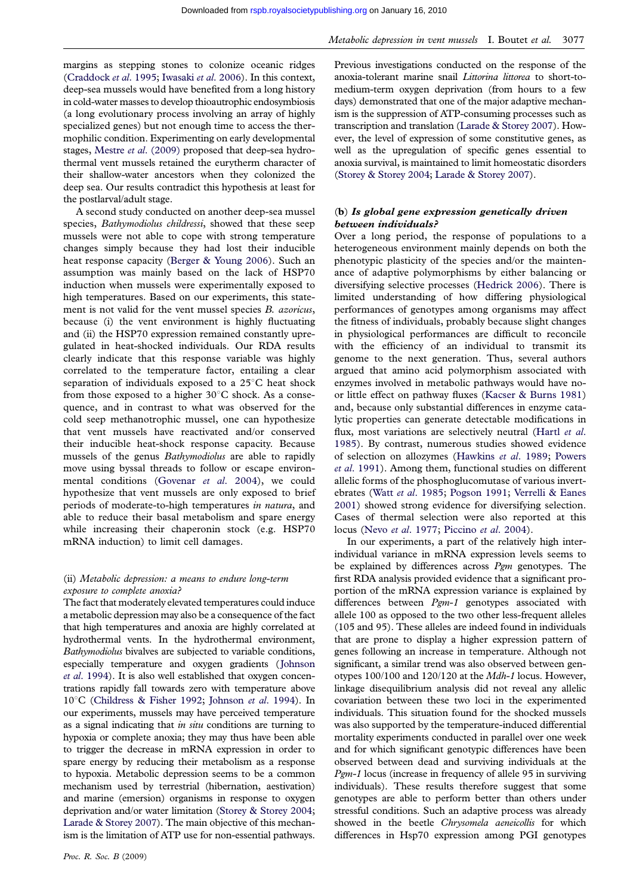margins as stepping stones to colonize oceanic ridges [\(Craddock](#page-8-0) et al. 1995; [Iwasaki](#page-9-0) et al. 2006). In this context, deep-sea mussels would have benefited from a long history in cold-water masses to develop thioautrophic endosymbiosis (a long evolutionary process involving an array of highly specialized genes) but not enough time to access the thermophilic condition. Experimenting on early developmental stages, Mestre et al[. \(2009\)](#page-9-0) proposed that deep-sea hydrothermal vent mussels retained the eurytherm character of their shallow-water ancestors when they colonized the deep sea. Our results contradict this hypothesis at least for the postlarval/adult stage.

A second study conducted on another deep-sea mussel species, Bathymodiolus childressi, showed that these seep mussels were not able to cope with strong temperature changes simply because they had lost their inducible heat response capacity [\(Berger & Young 2006](#page-8-0)). Such an assumption was mainly based on the lack of HSP70 induction when mussels were experimentally exposed to high temperatures. Based on our experiments, this statement is not valid for the vent mussel species B. azoricus, because (i) the vent environment is highly fluctuating and (ii) the HSP70 expression remained constantly upregulated in heat-shocked individuals. Our RDA results clearly indicate that this response variable was highly correlated to the temperature factor, entailing a clear separation of individuals exposed to a  $25^{\circ}$ C heat shock from those exposed to a higher  $30^{\circ}$ C shock. As a consequence, and in contrast to what was observed for the cold seep methanotrophic mussel, one can hypothesize that vent mussels have reactivated and/or conserved their inducible heat-shock response capacity. Because mussels of the genus Bathymodiolus are able to rapidly move using byssal threads to follow or escape environ-mental conditions ([Govenar](#page-8-0) et al. 2004), we could hypothesize that vent mussels are only exposed to brief periods of moderate-to-high temperatures in natura, and able to reduce their basal metabolism and spare energy while increasing their chaperonin stock (e.g. HSP70 mRNA induction) to limit cell damages.

## (ii) Metabolic depression: a means to endure long-term exposure to complete anoxia?

The fact that moderately elevated temperatures could induce a metabolic depression may also be a consequence of the fact that high temperatures and anoxia are highly correlated at hydrothermal vents. In the hydrothermal environment, Bathymodiolus bivalves are subjected to variable conditions, especially temperature and oxygen gradients ([Johnson](#page-9-0) et al[. 1994](#page-9-0)). It is also well established that oxygen concentrations rapidly fall towards zero with temperature above  $10^{\circ}$ C [\(Childress & Fisher 1992](#page-8-0); [Johnson](#page-9-0) et al. 1994). In our experiments, mussels may have perceived temperature as a signal indicating that in situ conditions are turning to hypoxia or complete anoxia; they may thus have been able to trigger the decrease in mRNA expression in order to spare energy by reducing their metabolism as a response to hypoxia. Metabolic depression seems to be a common mechanism used by terrestrial (hibernation, aestivation) and marine (emersion) organisms in response to oxygen deprivation and/or water limitation [\(Storey & Storey 2004;](#page-9-0) [Larade & Storey 2007](#page-9-0)). The main objective of this mechanism is the limitation of ATP use for non-essential pathways.

Metabolic depression in vent mussels I. Boutet et al. 3077

Previous investigations conducted on the response of the anoxia-tolerant marine snail Littorina littorea to short-tomedium-term oxygen deprivation (from hours to a few days) demonstrated that one of the major adaptive mechanism is the suppression of ATP-consuming processes such as transcription and translation ([Larade & Storey 2007](#page-9-0)). However, the level of expression of some constitutive genes, as well as the upregulation of specific genes essential to anoxia survival, is maintained to limit homeostatic disorders [\(Storey & Storey 2004](#page-9-0); [Larade & Storey 2007](#page-9-0)).

## (b) Is global gene expression genetically driven between individuals?

Over a long period, the response of populations to a heterogeneous environment mainly depends on both the phenotypic plasticity of the species and/or the maintenance of adaptive polymorphisms by either balancing or diversifying selective processes ([Hedrick 2006\)](#page-9-0). There is limited understanding of how differing physiological performances of genotypes among organisms may affect the fitness of individuals, probably because slight changes in physiological performances are difficult to reconcile with the efficiency of an individual to transmit its genome to the next generation. Thus, several authors argued that amino acid polymorphism associated with enzymes involved in metabolic pathways would have noor little effect on pathway fluxes [\(Kacser & Burns 1981\)](#page-9-0) and, because only substantial differences in enzyme catalytic properties can generate detectable modifications in flux, most variations are selectively neutral ([Hartl](#page-9-0) et al. [1985\)](#page-9-0). By contrast, numerous studies showed evidence of selection on allozymes ([Hawkins](#page-9-0) et al. 1989; [Powers](#page-9-0) et al[. 1991\)](#page-9-0). Among them, functional studies on different allelic forms of the phosphoglucomutase of various invertebrates (Watt et al[. 1985](#page-9-0); [Pogson 1991;](#page-9-0) [Verrelli & Eanes](#page-9-0) [2001\)](#page-9-0) showed strong evidence for diversifying selection. Cases of thermal selection were also reported at this locus (Nevo et al[. 1977;](#page-9-0) [Piccino](#page-9-0) et al. 2004).

In our experiments, a part of the relatively high interindividual variance in mRNA expression levels seems to be explained by differences across Pgm genotypes. The first RDA analysis provided evidence that a significant proportion of the mRNA expression variance is explained by differences between Pgm-1 genotypes associated with allele 100 as opposed to the two other less-frequent alleles (105 and 95). These alleles are indeed found in individuals that are prone to display a higher expression pattern of genes following an increase in temperature. Although not significant, a similar trend was also observed between genotypes 100/100 and 120/120 at the Mdh-1 locus. However, linkage disequilibrium analysis did not reveal any allelic covariation between these two loci in the experimented individuals. This situation found for the shocked mussels was also supported by the temperature-induced differential mortality experiments conducted in parallel over one week and for which significant genotypic differences have been observed between dead and surviving individuals at the Pgm-1 locus (increase in frequency of allele 95 in surviving individuals). These results therefore suggest that some genotypes are able to perform better than others under stressful conditions. Such an adaptive process was already showed in the beetle Chrysomela aeneicollis for which differences in Hsp70 expression among PGI genotypes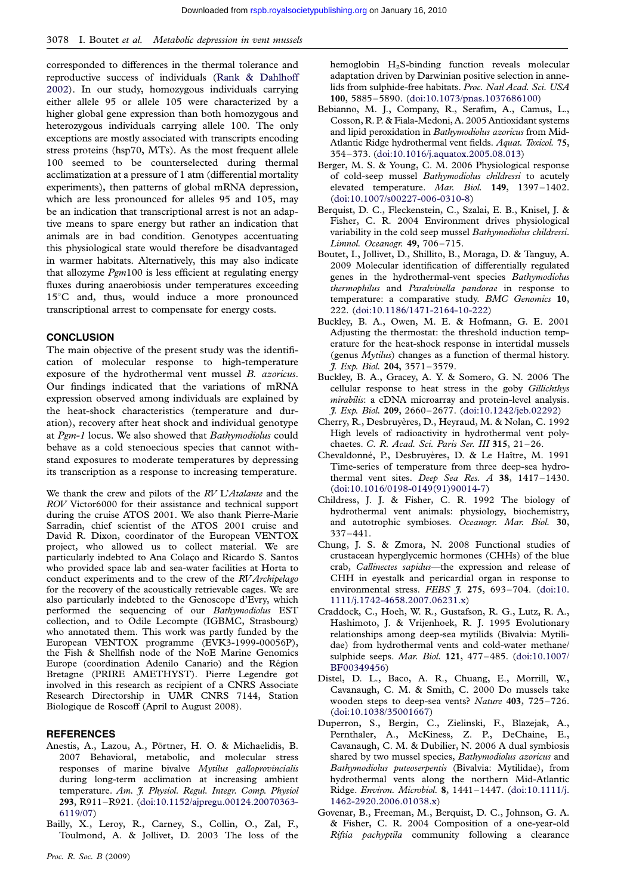<span id="page-8-0"></span>corresponded to differences in the thermal tolerance and reproductive success of individuals ([Rank & Dahlhoff](#page-9-0) [2002](#page-9-0)). In our study, homozygous individuals carrying either allele 95 or allele 105 were characterized by a higher global gene expression than both homozygous and heterozygous individuals carrying allele 100. The only exceptions are mostly associated with transcripts encoding stress proteins (hsp70, MTs). As the most frequent allele 100 seemed to be counterselected during thermal acclimatization at a pressure of 1 atm (differential mortality experiments), then patterns of global mRNA depression, which are less pronounced for alleles 95 and 105, may be an indication that transcriptional arrest is not an adaptive means to spare energy but rather an indication that animals are in bad condition. Genotypes accentuating this physiological state would therefore be disadvantaged in warmer habitats. Alternatively, this may also indicate that allozyme  $Pgm100$  is less efficient at regulating energy fluxes during anaerobiosis under temperatures exceeding 15°C and, thus, would induce a more pronounced transcriptional arrest to compensate for energy costs.

#### **CONCLUSION**

The main objective of the present study was the identification of molecular response to high-temperature exposure of the hydrothermal vent mussel B. azoricus. Our findings indicated that the variations of mRNA expression observed among individuals are explained by the heat-shock characteristics (temperature and duration), recovery after heat shock and individual genotype at Pgm-1 locus. We also showed that Bathymodiolus could behave as a cold stenoecious species that cannot withstand exposures to moderate temperatures by depressing its transcription as a response to increasing temperature.

We thank the crew and pilots of the RV L'Atalante and the ROV Victor6000 for their assistance and technical support during the cruise ATOS 2001. We also thank Pierre-Marie Sarradin, chief scientist of the ATOS 2001 cruise and David R. Dixon, coordinator of the European VENTOX project, who allowed us to collect material. We are particularly indebted to Ana Colaço and Ricardo S. Santos who provided space lab and sea-water facilities at Horta to conduct experiments and to the crew of the RV Archipelago for the recovery of the acoustically retrievable cages. We are also particularly indebted to the Genoscope d'Evry, which performed the sequencing of our Bathymodiolus EST collection, and to Odile Lecompte (IGBMC, Strasbourg) who annotated them. This work was partly funded by the European VENTOX programme (EVK3-1999-00056P), the Fish & Shellfish node of the NoE Marine Genomics Europe (coordination Adenilo Canario) and the Région Bretagne (PRIRE AMETHYST). Pierre Legendre got involved in this research as recipient of a CNRS Associate Research Directorship in UMR CNRS 7144, Station Biologique de Roscoff (April to August 2008).

#### **REFERENCES**

- Anestis, A., Lazou, A., Pörtner, H. O. & Michaelidis, B. 2007 Behavioral, metabolic, and molecular stress responses of marine bivalve Mytilus galloprovincialis during long-term acclimation at increasing ambient temperature. Am. J. Physiol. Regul. Integr. Comp. Physiol 293, R911–R921. ([doi:10.1152/ajpregu.00124.20070363-](http://dx.doi.org/doi:10.1152/ajpregu.00124.20070363-6119/07) [6119/07](http://dx.doi.org/doi:10.1152/ajpregu.00124.20070363-6119/07))
- Bailly, X., Leroy, R., Carney, S., Collin, O., Zal, F., Toulmond, A. & Jollivet, D. 2003 The loss of the

hemoglobin H2S-binding function reveals molecular adaptation driven by Darwinian positive selection in annelids from sulphide-free habitats. Proc. Natl Acad. Sci. USA 100, 5885–5890. ([doi:10.1073/pnas.1037686100\)](http://dx.doi.org/doi:10.1073/pnas.1037686100)

- Bebianno, M. J., Company, R., Serafim, A., Camus, L., Cosson, R. P. & Fiala-Medoni, A. 2005 Antioxidant systems and lipid peroxidation in Bathymodiolus azoricus from Mid-Atlantic Ridge hydrothermal vent fields. Aquat. Toxicol. 75, 354–373. ([doi:10.1016/j.aquatox.2005.08.013](http://dx.doi.org/doi:10.1016/j.aquatox.2005.08.013))
- Berger, M. S. & Young, C. M. 2006 Physiological response of cold-seep mussel Bathymodiolus childressi to acutely elevated temperature. Mar. Biol. 149, 1397–1402. [\(doi:10.1007/s00227-006-0310-8](http://dx.doi.org/doi:10.1007/s00227-006-0310-8))
- Berquist, D. C., Fleckenstein, C., Szalai, E. B., Knisel, J. & Fisher, C. R. 2004 Environment drives physiological variability in the cold seep mussel Bathymodiolus childressi. Limnol. Oceanogr. 49, 706–715.
- Boutet, I., Jollivet, D., Shillito, B., Moraga, D. & Tanguy, A. 2009 Molecular identification of differentially regulated genes in the hydrothermal-vent species Bathymodiolus thermophilus and Paralvinella pandorae in response to temperature: a comparative study. BMC Genomics 10, 222. ([doi:10.1186/1471-2164-10-222](http://dx.doi.org/doi:10.1186/1471-2164-10-222))
- Buckley, B. A., Owen, M. E. & Hofmann, G. E. 2001 Adjusting the thermostat: the threshold induction temperature for the heat-shock response in intertidal mussels (genus Mytilus) changes as a function of thermal history. J. Exp. Biol. 204, 3571–3579.
- Buckley, B. A., Gracey, A. Y. & Somero, G. N. 2006 The cellular response to heat stress in the goby Gillichthys mirabilis: a cDNA microarray and protein-level analysis. J. Exp. Biol. 209, 2660–2677. ([doi:10.1242/jeb.02292\)](http://dx.doi.org/doi:10.1242/jeb.02292)
- Cherry, R., Desbruyères, D., Heyraud, M. & Nolan, C. 1992 High levels of radioactivity in hydrothermal vent polychaetes. C. R. Acad. Sci. Paris Ser. III 315, 21–26.
- Chevaldonné, P., Desbruyères, D. & Le Haître, M. 1991 Time-series of temperature from three deep-sea hydrothermal vent sites. Deep Sea Res.  $A$  38, 1417-1430. [\(doi:10.1016/0198-0149\(91\)90014-7](http://dx.doi.org/doi:10.1016/0198-0149(91)90014-7))
- Childress, J. J. & Fisher, C. R. 1992 The biology of hydrothermal vent animals: physiology, biochemistry, and autotrophic symbioses. Oceanogr. Mar. Biol. 30, 337–441.
- Chung, J. S. & Zmora, N. 2008 Functional studies of crustacean hyperglycemic hormones (CHHs) of the blue crab, Callinectes sapidus—the expression and release of CHH in eyestalk and pericardial organ in response to environmental stress. FEBS  $\frac{9}{7}$ , 275, 693-704. [\(doi:10.](http://dx.doi.org/doi:10.1111/j.1742-4658.2007.06231.x) [1111/j.1742-4658.2007.06231.x](http://dx.doi.org/doi:10.1111/j.1742-4658.2007.06231.x))
- Craddock, C., Hoeh, W. R., Gustafson, R. G., Lutz, R. A., Hashimoto, J. & Vrijenhoek, R. J. 1995 Evolutionary relationships among deep-sea mytilids (Bivalvia: Mytilidae) from hydrothermal vents and cold-water methane/ sulphide seeps. Mar. Biol. 121, 477–485. ([doi:10.1007/](http://dx.doi.org/doi:10.1007/BF00349456) [BF00349456\)](http://dx.doi.org/doi:10.1007/BF00349456)
- Distel, D. L., Baco, A. R., Chuang, E., Morrill, W., Cavanaugh, C. M. & Smith, C. 2000 Do mussels take wooden steps to deep-sea vents? Nature 403, 725–726. [\(doi:10.1038/35001667\)](http://dx.doi.org/doi:10.1038/35001667)
- Duperron, S., Bergin, C., Zielinski, F., Blazejak, A., Pernthaler, A., McKiness, Z. P., DeChaine, E., Cavanaugh, C. M. & Dubilier, N. 2006 A dual symbiosis shared by two mussel species, Bathymodiolus azoricus and Bathymodiolus puteoserpentis (Bivalvia: Mytilidae), from hydrothermal vents along the northern Mid-Atlantic Ridge. Environ. Microbiol. 8, 1441–1447. ([doi:10.1111/j.](http://dx.doi.org/doi:10.1111/j.1462-2920.2006.01038.x) [1462-2920.2006.01038.x\)](http://dx.doi.org/doi:10.1111/j.1462-2920.2006.01038.x)
- Govenar, B., Freeman, M., Berquist, D. C., Johnson, G. A. & Fisher, C. R. 2004 Composition of a one-year-old Riftia pachyptila community following a clearance